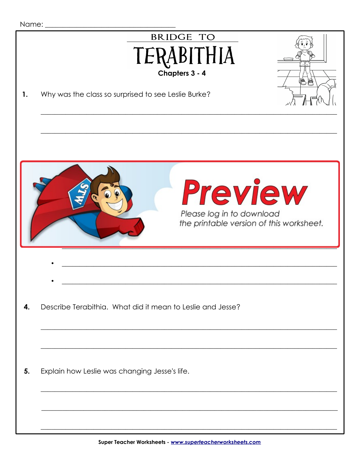